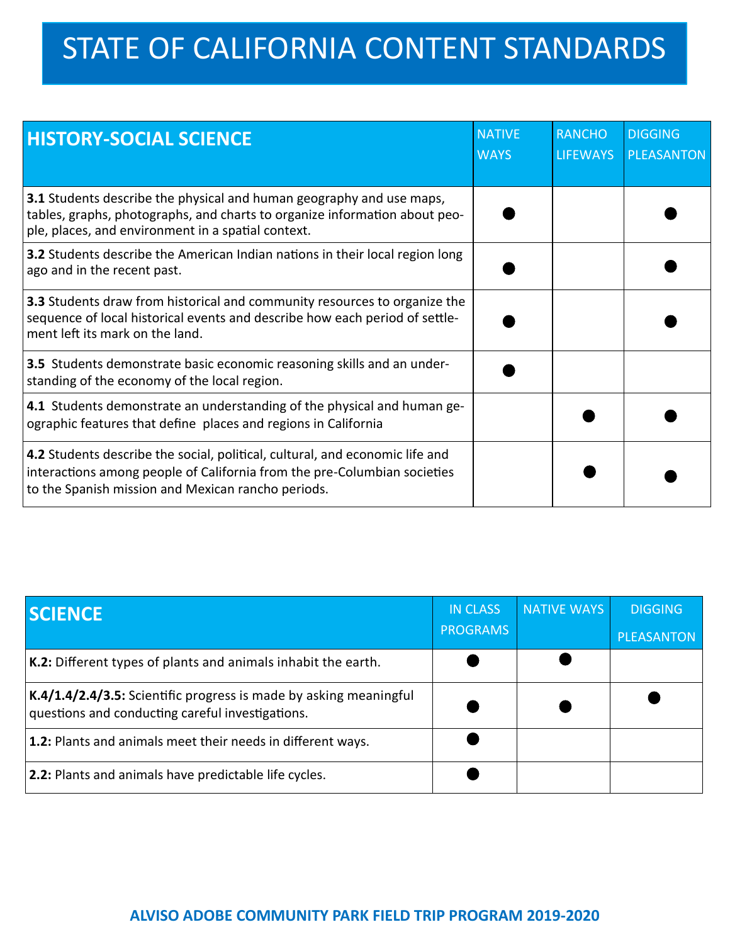## STATE OF CALIFORNIA CONTENT STANDARDS

| <b>HISTORY-SOCIAL SCIENCE</b>                                                                                                                                                                                     | <b>NATIVE</b><br><b>WAYS</b> | <b>RANCHO</b><br><b>LIFEWAYS</b> | <b>DIGGING</b><br><b>PLEASANTON</b> |
|-------------------------------------------------------------------------------------------------------------------------------------------------------------------------------------------------------------------|------------------------------|----------------------------------|-------------------------------------|
| 3.1 Students describe the physical and human geography and use maps,<br>tables, graphs, photographs, and charts to organize information about peo-<br>ple, places, and environment in a spatial context.          |                              |                                  |                                     |
| 3.2 Students describe the American Indian nations in their local region long<br>ago and in the recent past.                                                                                                       |                              |                                  |                                     |
| 3.3 Students draw from historical and community resources to organize the<br>sequence of local historical events and describe how each period of settle-<br>ment left its mark on the land.                       |                              |                                  |                                     |
| 3.5 Students demonstrate basic economic reasoning skills and an under-<br>standing of the economy of the local region.                                                                                            |                              |                                  |                                     |
| <b>4.1</b> Students demonstrate an understanding of the physical and human ge-<br>ographic features that define places and regions in California                                                                  |                              |                                  |                                     |
| $ 4.2$ Students describe the social, political, cultural, and economic life and<br>interactions among people of California from the pre-Columbian societies<br>to the Spanish mission and Mexican rancho periods. |                              |                                  |                                     |

| <b>SCIENCE</b>                                                                                                        | <b>IN CLASS</b><br><b>PROGRAMS</b> | <b>NATIVE WAYS</b> | <b>DIGGING</b><br>PLEASANTON |
|-----------------------------------------------------------------------------------------------------------------------|------------------------------------|--------------------|------------------------------|
| K.2: Different types of plants and animals inhabit the earth.                                                         |                                    |                    |                              |
| K.4/1.4/2.4/3.5: Scientific progress is made by asking meaningful<br>questions and conducting careful investigations. |                                    |                    |                              |
| 1.2: Plants and animals meet their needs in different ways.                                                           |                                    |                    |                              |
| <b>2.2:</b> Plants and animals have predictable life cycles.                                                          |                                    |                    |                              |